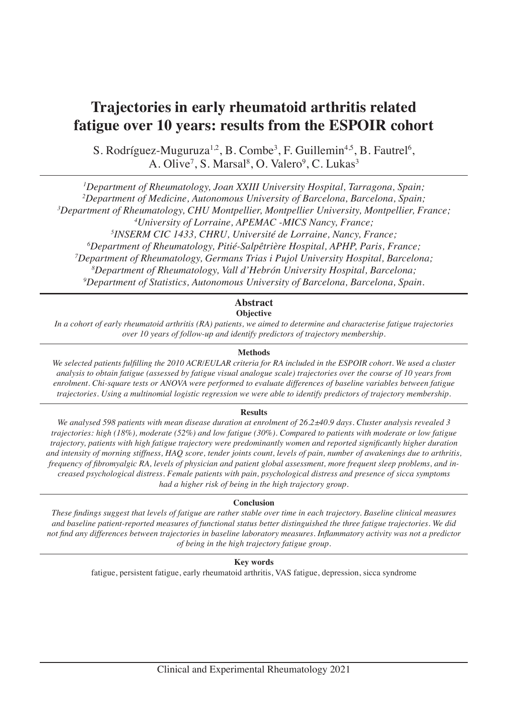# **Trajectories in early rheumatoid arthritis related fatigue over 10 years: results from the ESPOIR cohort**

S. Rodríguez-Muguruza<sup>1,2</sup>, B. Combe<sup>3</sup>, F. Guillemin<sup>4,5</sup>, B. Fautrel<sup>6</sup>, A. Olive<sup>7</sup>, S. Marsal<sup>8</sup>, O. Valero<sup>9</sup>, C. Lukas<sup>3</sup>

 *Department of Rheumatology, Joan XXIII University Hospital, Tarragona, Spain; Department of Medicine, Autonomous University of Barcelona, Barcelona, Spain; Department of Rheumatology, CHU Montpellier, Montpellier University, Montpellier, France; University of Lorraine, APEMAC -MICS Nancy, France; INSERM CIC 1433, CHRU, Université de Lorraine, Nancy, France; Department of Rheumatology, Pitié-Salpêtrière Hospital, APHP, Paris, France; Department of Rheumatology, Germans Trias i Pujol University Hospital, Barcelona; Department of Rheumatology, Vall d'Hebrón University Hospital, Barcelona; Department of Statistics, Autonomous University of Barcelona, Barcelona, Spain.*

## **Abstract**

## **Objective**

*In a cohort of early rheumatoid arthritis (RA) patients, we aimed to determine and characterise fatigue trajectories over 10 years of follow-up and identify predictors of trajectory membership.* 

## **Methods**

*We selected patients fulfilling the 2010 ACR/EULAR criteria for RA included in the ESPOIR cohort. We used a cluster analysis to obtain fatigue (assessed by fatigue visual analogue scale) trajectories over the course of 10 years from enrolment. Chi-square tests or ANOVA were performed to evaluate differences of baseline variables between fatigue trajectories. Using a multinomial logistic regression we were able to identify predictors of trajectory membership.* 

## **Results**

*We analysed 598 patients with mean disease duration at enrolment of 26.2±40.9 days. Cluster analysis revealed 3 trajectories: high (18%), moderate (52%) and low fatigue (30%). Compared to patients with moderate or low fatigue trajectory, patients with high fatigue trajectory were predominantly women and reported significantly higher duration and intensity of morning stiffness, HAQ score, tender joints count, levels of pain, number of awakenings due to arthritis, frequency of fibromyalgic RA, levels of physician and patient global assessment, more frequent sleep problems, and increased psychological distress. Female patients with pain, psychological distress and presence of sicca symptoms had a higher risk of being in the high trajectory group.*

## **Conclusion**

*These findings suggest that levels of fatigue are rather stable over time in each trajectory. Baseline clinical measures and baseline patient-reported measures of functional status better distinguished the three fatigue trajectories. We did not find any differences between trajectories in baseline laboratory measures. Inflammatory activity was not a predictor of being in the high trajectory fatigue group.* 

## **Key words**

fatigue, persistent fatigue, early rheumatoid arthritis, VAS fatigue, depression, sicca syndrome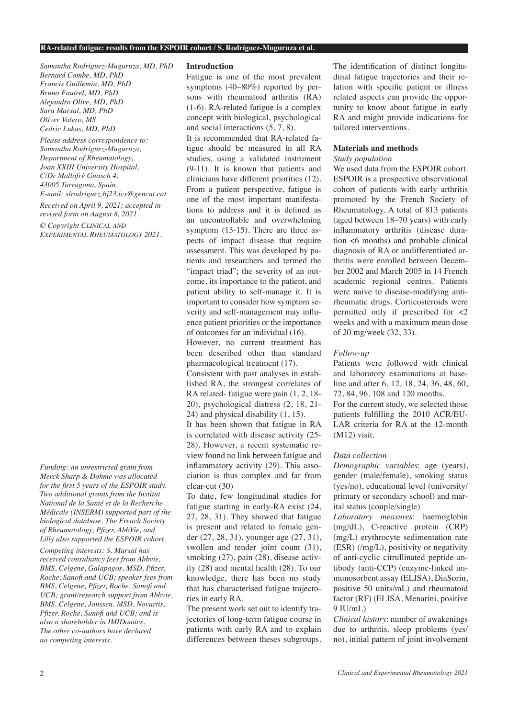#### **RA-related fatigue: results from the ESPOIR cohort / S. Rodríguez-Muguruza et al.**

*Samantha Rodríguez-Muguruza, MD, PhD Bernard Combe, MD, PhD Francis Guillemin, MD, PhD Bruno Fautrel, MD, PhD Alejandro Olive, MD, PhD Sara Marsal, MD, PhD Oliver Valero, MS Cedric Lukas, MD, PhD*

*Please address correspondence to: Samantha Rodríguez-Muguruza, Department of Rheumatology, Joan XXIII University Hospital, C/Dr Mallafrè Guasch 4, 43005 Tarragona, Spain. E-mail: slrodriguez.hj23.ics@gencat.cat* 

*Received on April 9, 2021; accepted in revised form on August 8, 2021.*

*© Copyright Clinical and Experimental Rheumatology 2021.*

*Funding: an unrestricted grant from Merck Sharp & Dohme was allocated for the first 5 years of the ESPOIR study. Two additional grants from the Institut National de la Santé et de la Recherche Médicale (INSERM) supported part of the biological database. The French Society of Rheumatology, Pfizer, AbbVie, and Lilly also supported the ESPOIR cohort.*

*Competing interests: S. Marsal has received consultancy fees from Abbvie, BMS, Celgene, Galapagos, MSD, Pfizer, Roche, Sanofi and UCB; speaker fees from BMS, Celgene, Pfizer, Roche, Sanofi and UCB; grant/research support from Abbvie, BMS, Celgene, Janssen, MSD, Novartis, Pfizer, Roche, Sanofi and UCB; and is also a shareholder in IMIDomics. The other co-authors have declared no competing interests.*

#### **Introduction**

Fatigue is one of the most prevalent symptoms (40–80%) reported by persons with rheumatoid arthritis (RA) (1-6). RA-related fatigue is a complex concept with biological, psychological and social interactions (5, 7, 8).

It is recommended that RA-related fatigue should be measured in all RA studies, using a validated instrument (9-11). It is known that patients and clinicians have different priorities (12). From a patient perspective, fatigue is one of the most important manifestations to address and it is defined as an uncontrollable and overwhelming symptom (13-15). There are three aspects of impact disease that require assessment. This was developed by patients and researchers and termed the "impact triad"; the severity of an outcome, its importance to the patient, and patient ability to self-manage it. It is important to consider how symptom severity and self-management may influence patient priorities or the importance of outcomes for an individual (16).

However, no current treatment has been described other than standard pharmacological treatment (17).

Consistent with past analyses in established RA, the strongest correlates of RA related- fatigue were pain (1, 2, 18- 20), psychological distress (2, 18, 21- 24) and physical disability (1, 15).

It has been shown that fatigue in RA is correlated with disease activity (25- 28). However, a recent systematic review found no link between fatigue and inflammatory activity (29). This association is thus complex and far from clear-cut (30)

To date, few longitudinal studies for fatigue starting in early-RA exist (24, 27, 28, 31). They showed that fatigue is present and related to female gender (27, 28, 31), younger age (27, 31), swollen and tender joint count (31), smoking  $(27)$ , pain  $(28)$ , disease activity (28) and mental health (28). To our knowledge, there has been no study that has characterised fatigue trajectories in early RA.

The present work set out to identify trajectories of long-term fatigue course in patients with early RA and to explain differences between theses subgroups. The identification of distinct longitudinal fatigue trajectories and their relation with specific patient or illness related aspects can provide the opportunity to know about fatigue in early RA and might provide indications for tailored interventions.

#### **Materials and methods**

#### *Study population*

We used data from the ESPOIR cohort. ESPOIR is a prospective observational cohort of patients with early arthritis promoted by the French Society of Rheumatology. A total of 813 patients (aged between 18–70 years) with early inflammatory arthritis (disease duration <6 months) and probable clinical diagnosis of RA or undifferentiated arthritis were enrolled between December 2002 and March 2005 in 14 French academic regional centres. Patients were naive to disease-modifying antirheumatic drugs. Corticosteroids were permitted only if prescribed for <2 weeks and with a maximum mean dose of 20 mg/week (32, 33).

#### *Follow-up*

Patients were followed with clinical and laboratory examinations at baseline and after 6, 12, 18, 24, 36, 48, 60, 72, 84, 96, 108 and 120 months. For the current study, we selected those patients fulfilling the 2010 ACR/EU-LAR criteria for RA at the 12-month (M12) visit.

#### *Data collection*

*Demographic variables*: age (years), gender (male/female), smoking status (yes/no), educational level (university/ primary or secondary school) and marital status (couple/single)

*Laboratory measures*: haemoglobin (mg/dL), C-reactive protein (CRP) (mg/L) erythrocyte sedimentation rate (ESR) (/mg/L), positivity or negativity of anti-cyclic citrullinated peptide antibody (anti-CCP) (enzyme-linked immunosorbent assay (ELISA), DiaSorin, positive 50 units/mL) and rheumatoid factor (RF) (ELISA, Menarini, positive 9 IU/mL)

*Clinical history*: number of awakenings due to arthritis, sleep problems (yes/ no), initial pattern of joint involvement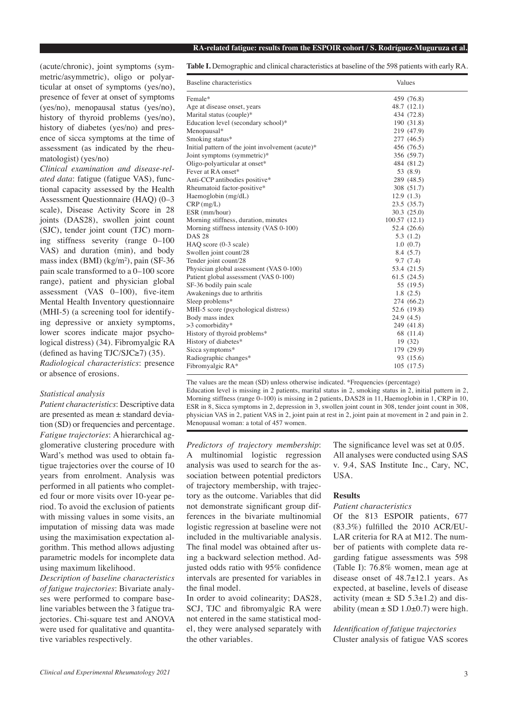#### **RA-related fatigue: results from the ESPOIR cohort / S. Rodríguez-Muguruza et al.**

(acute/chronic), joint symptoms (symmetric/asymmetric), oligo or polyarticular at onset of symptoms (yes/no), presence of fever at onset of symptoms (yes/no), menopausal status (yes/no), history of thyroid problems (yes/no), history of diabetes (yes/no) and presence of sicca symptoms at the time of assessment (as indicated by the rheumatologist) (yes/no)

*Clinical examination and disease-related data*: fatigue (fatigue VAS), functional capacity assessed by the Health Assessment Questionnaire (HAQ) (0–3 scale), Disease Activity Score in 28 joints (DAS28), swollen joint count (SJC), tender joint count (TJC) morning stiffness severity (range 0–100 VAS) and duration (min), and body mass index (BMI) (kg/m<sup>2</sup>), pain (SF-36 pain scale transformed to a 0–100 score range), patient and physician global assessment (VAS 0–100), five-item Mental Health Inventory questionnaire (MHI-5) (a screening tool for identifying depressive or anxiety symptoms, lower scores indicate major psychological distress) (34). Fibromyalgic RA (defined as having TJC/SJC $\ge$ 7) (35). *Radiological characteristics*: presence or absence of erosions.

#### *Statistical analysis*

*Patient characteristics*: Descriptive data are presented as mean ± standard deviation (SD) or frequencies and percentage. *Fatigue trajectories*: A hierarchical agglomerative clustering procedure with Ward's method was used to obtain fatigue trajectories over the course of 10 years from enrolment. Analysis was performed in all patients who completed four or more visits over 10-year period. To avoid the exclusion of patients with missing values in some visits, an imputation of missing data was made using the maximisation expectation algorithm. This method allows adjusting parametric models for incomplete data using maximum likelihood.

*Description of baseline characteristics of fatigue trajectories*: Bivariate analyses were performed to compare baseline variables between the 3 fatigue trajectories. Chi-square test and ANOVA were used for qualitative and quantitative variables respectively.

**Table I.** Demographic and clinical characteristics at baseline of the 598 patients with early RA.

| Baseline characteristics                          | Values       |
|---------------------------------------------------|--------------|
| Female*                                           | 459 (76.8)   |
| Age at disease onset, years                       | 48.7 (12.1)  |
| Marital status (couple)*                          | 434 (72.8)   |
| Education level (secondary school)*               | 190 (31.8)   |
| Menopausal*                                       | 219 (47.9)   |
| Smoking status*                                   | 277 (46.5)   |
| Initial pattern of the joint involvement (acute)* | 456 (76.5)   |
| Joint symptoms (symmetric)*                       | 356 (59.7)   |
| Oligo-polyarticular at onset*                     | 484 (81.2)   |
| Fever at RA onset*                                | 53 (8.9)     |
| Anti-CCP antibodies positive*                     | 289 (48.5)   |
| Rheumatoid factor-positive*                       | 308 (51.7)   |
| Haemoglobin (mg/dL)                               | 12.9(1.3)    |
| $CRP$ (mg/L)                                      | 23.5 (35.7)  |
| ESR (mm/hour)                                     | 30.3(25.0)   |
| Morning stiffness, duration, minutes              | 100.57(12.1) |
| Morning stiffness intensity (VAS 0-100)           | 52.4 (26.6)  |
| <b>DAS 28</b>                                     | 5.3(1.2)     |
| HAQ score (0-3 scale)                             | 1.0(0.7)     |
| Swollen joint count/28                            | 8.4 (5.7)    |
| Tender joint count/28                             | 9.7(7.4)     |
| Physician global assessment (VAS 0-100)           | 53.4 (21.5)  |
| Patient global assessment (VAS 0-100)             | 61.5(24.5)   |
| SF-36 bodily pain scale                           | 55 (19.5)    |
| Awakenings due to arthritis                       | 1.8(2.5)     |
| Sleep problems*                                   | 274 (66.2)   |
| MHI-5 score (psychological distress)              | 52.6 (19.8)  |
| Body mass index                                   | 24.9 (4.5)   |
| >3 comorbidity*                                   | 249 (41.8)   |
| History of thyroid problems*                      | 68 (11.4)    |
| History of diabetes*                              | 19 (32)      |
| Sicca symptoms*                                   | 179 (29.9)   |
| Radiographic changes*                             | 93 (15.6)    |
| Fibromyalgic RA*                                  | 105(17.5)    |
|                                                   |              |

The values are the mean (SD) unless otherwise indicated. \*Frequencies (percentage) Education level is missing in 2 patients, marital status in 2, smoking status in 2, initial pattern in 2, Morning stiffness (range  $0-100$ ) is missing in 2 patients, DAS28 in 11, Haemoglobin in 1, CRP in 10, ESR in 8, Sicca symptoms in 2, depression in 3, swollen joint count in 308, tender joint count in 308, physician VAS in 2, patient VAS in 2, joint pain at rest in 2, joint pain at movement in 2 and pain in 2. Menopausal woman: a total of 457 women.

*Predictors of trajectory membership*: A multinomial logistic regression analysis was used to search for the association between potential predictors of trajectory membership, with trajectory as the outcome. Variables that did not demonstrate significant group differences in the bivariate multinomial logistic regression at baseline were not included in the multivariable analysis. The final model was obtained after using a backward selection method. Adjusted odds ratio with 95% confidence intervals are presented for variables in the final model.

In order to avoid colinearity; DAS28, SCJ, TJC and fibromyalgic RA were not entered in the same statistical model, they were analysed separately with the other variables.

The significance level was set at 0.05. All analyses were conducted using SAS v. 9.4, SAS Institute Inc., Cary, NC, USA.

#### **Results**

### *Patient characteristics*

Of the 813 ESPOIR patients, 677 (83.3%) fulfilled the 2010 ACR/EU-LAR criteria for RA at M12. The number of patients with complete data regarding fatigue assessments was 598 (Table I): 76.8% women, mean age at disease onset of 48.7±12.1 years. As expected, at baseline, levels of disease activity (mean  $\pm$  SD 5.3 $\pm$ 1.2) and disability (mean  $\pm$  SD 1.0 $\pm$ 0.7) were high.

*Identification of fatigue trajectories* Cluster analysis of fatigue VAS scores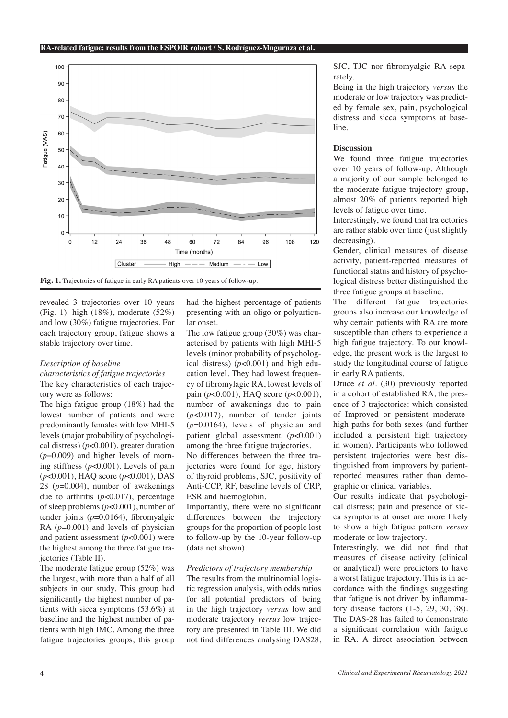

**Fig. 1.** Trajectories of fatigue in early RA patients over 10 years of follow-up.

revealed 3 trajectories over 10 years (Fig. 1): high (18%), moderate (52%) and low (30%) fatigue trajectories. For each trajectory group, fatigue shows a stable trajectory over time.

#### *Description of baseline*

*characteristics of fatigue trajectories* The key characteristics of each trajectory were as follows:

The high fatigue group (18%) had the lowest number of patients and were predominantly females with low MHI-5 levels (major probability of psychological distress) (*p*<0.001), greater duration (*p*=0.009) and higher levels of morning stiffness (*p*<0.001). Levels of pain (*p*<0.001), HAQ score (*p*<0.001), DAS 28 (*p*=0.004), number of awakenings due to arthritis (*p*<0.017), percentage of sleep problems (*p*<0.001), number of tender joints (*p*=0.0164), fibromyalgic RA ( $p=0.001$ ) and levels of physician and patient assessment (*p*<0.001) were the highest among the three fatigue trajectories (Table II).

The moderate fatigue group (52%) was the largest, with more than a half of all subjects in our study. This group had significantly the highest number of patients with sicca symptoms (53.6%) at baseline and the highest number of patients with high IMC. Among the three fatigue trajectories groups, this group

had the highest percentage of patients presenting with an oligo or polyarticular onset.

The low fatigue group (30%) was characterised by patients with high MHI-5 levels (minor probability of psychological distress)  $(p<0.001)$  and high education level. They had lowest frequency of fibromylagic RA, lowest levels of pain (*p*<0.001), HAQ score (*p*<0.001), number of awakenings due to pain (*p*<0.017), number of tender joints (*p*=0.0164), levels of physician and patient global assessment (*p*<0.001) among the three fatigue trajectories.

No differences between the three trajectories were found for age, history of thyroid problems, SJC, positivity of Anti-CCP, RF, baseline levels of CRP, ESR and haemoglobin.

Importantly, there were no significant differences between the trajectory groups for the proportion of people lost to follow-up by the 10-year follow-up (data not shown).

#### *Predictors of trajectory membership*

The results from the multinomial logistic regression analysis, with odds ratios for all potential predictors of being in the high trajectory *versus* low and moderate trajectory *versus* low trajectory are presented in Table III. We did not find differences analysing DAS28, SJC, TJC nor fibromyalgic RA separately.

Being in the high trajectory *versus* the moderate or low trajectory was predicted by female sex, pain, psychological distress and sicca symptoms at baseline.

#### **Discussion**

We found three fatigue trajectories over 10 years of follow-up. Although a majority of our sample belonged to the moderate fatigue trajectory group, almost 20% of patients reported high levels of fatigue over time.

Interestingly, we found that trajectories are rather stable over time (just slightly decreasing).

Gender, clinical measures of disease activity, patient-reported measures of functional status and history of psychological distress better distinguished the three fatigue groups at baseline.

The different fatigue trajectories groups also increase our knowledge of why certain patients with RA are more susceptible than others to experience a high fatigue trajectory. To our knowledge, the present work is the largest to study the longitudinal course of fatigue in early RA patients.

Druce *et al*. (30) previously reported in a cohort of established RA, the presence of 3 trajectories: which consisted of Improved or persistent moderatehigh paths for both sexes (and further included a persistent high trajectory in women). Participants who followed persistent trajectories were best distinguished from improvers by patientreported measures rather than demographic or clinical variables.

Our results indicate that psychological distress; pain and presence of sicca symptoms at onset are more likely to show a high fatigue pattern *versus* moderate or low trajectory.

Interestingly, we did not find that measures of disease activity (clinical or analytical) were predictors to have a worst fatigue trajectory. This is in accordance with the findings suggesting that fatigue is not driven by inflammatory disease factors (1-5, 29, 30, 38). The DAS-28 has failed to demonstrate a significant correlation with fatigue in RA. A direct association between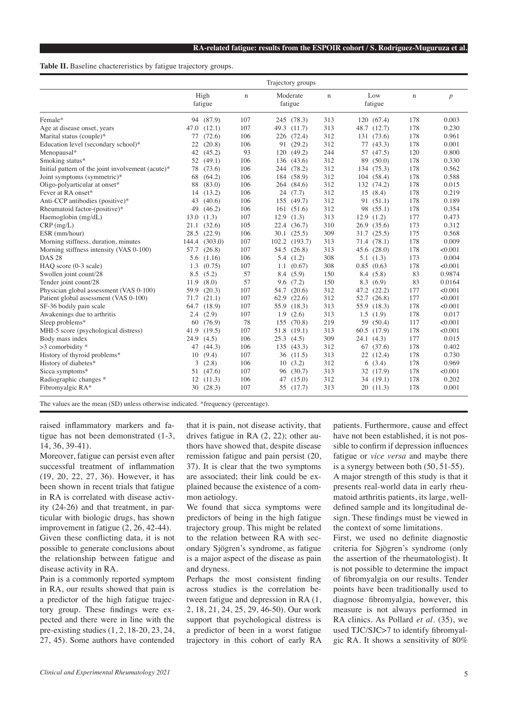#### Table II. Baseline chactereristics by fatigue trajectory groups.

|                                                   | Trajectory groups |                 |     |      |                     |             |      |                |             |                  |
|---------------------------------------------------|-------------------|-----------------|-----|------|---------------------|-------------|------|----------------|-------------|------------------|
|                                                   |                   | High<br>fatigue | n   |      | Moderate<br>fatigue | $\mathbf n$ |      | Low<br>fatigue | $\mathbf n$ | $\boldsymbol{p}$ |
| Female*                                           |                   | 94 (87.9)       | 107 |      | 245 (78.3)          | 313         |      | 120 (67.4)     | 178         | 0.003            |
| Age at disease onset, years                       | 47.0              | (12.1)          | 107 | 49.3 | (11.7)              | 313         |      | 48.7 (12.7)    | 178         | 0.230            |
| Marital status (couple)*                          | 77                | (72.6)          | 106 |      | 226 (72.4)          | 312         |      | 131 (73.6)     | 178         | 0.961            |
| Education level (secondary school)*               | 22                | (20.8)          | 106 |      | 91 (29.2)           | 312         |      | 77(43.3)       | 178         | 0.001            |
| Menopausal*                                       | 42                | (45.2)          | 93  | 120  | (49.2)              | 244         |      | 57 (47.5)      | 120         | 0.800            |
| Smoking status*                                   | 52                | (49.1)          | 106 |      | 136 (43.6)          | 312         | 89   | (50.0)         | 178         | 0.330            |
| Initial pattern of the joint involvement (acute)* | 78.               | (73.6)          | 106 |      | 244 (78.2)          | 312         |      | 134 (75.3)     | 178         | 0.562            |
| Joint symptoms (symmetric)*                       | 68                | (64.2)          | 106 |      | 184 (58.9)          | 312         |      | 104 (58.4)     | 178         | 0.588            |
| Oligo-polyarticular at onset*                     | 88                | (83.0)          | 106 |      | 264 (84.6)          | 312         |      | 132 (74.2)     | 178         | 0.015            |
| Fever at RA onset*                                | 14                | (13.2)          | 106 |      | 24(7.7)             | 312         | 15   | (8.4)          | 178         | 0.219            |
| Anti-CCP antibodies (positive)*                   | 43                | (40.6)          | 106 | 155  | (49.7)              | 312         |      | 91 (51.1)      | 178         | 0.189            |
| Rheumatoid factor-(positive)*                     | 49                | (46.2)          | 106 |      | 161(51.6)           | 312         |      | 98 (55.1)      | 178         | 0.354            |
| Haemoglobin (mg/dL)                               | 13.0              | (1.3)           | 107 | 12.9 | (1.3)               | 313         | 12.9 | (1.2)          | 177         | 0.473            |
| $CRP$ (mg/L)                                      | 21.1              | (32.6)          | 105 |      | 22.4 (36.7)         | 310         |      | 26.9(35.6)     | 173         | 0.312            |
| ESR (mm/hour)                                     | 28.5              | (22.9)          | 106 |      | 30.1 (25.5)         | 309         |      | 31.7 (25.5)    | 175         | 0.568            |
| Morning stiffness, duration, minutes              | 144.4             | (303.0)         | 107 |      | 102.2 (193.7)       | 313         |      | 71.4 (78.1)    | 178         | 0.009            |
| Morning stiffness intensity (VAS 0-100)           | 57.7              | (26.8)          | 107 |      | 54.5 (26.8)         | 313         |      | 45.6(28.0)     | 178         | < 0.001          |
| <b>DAS 28</b>                                     | 5.6               | (1.16)          | 106 |      | 5.4(1.2)            | 308         |      | 5.1(1.3)       | 173         | 0.004            |
| HAO score (0-3 scale)                             | 1.3               | (0.75)          | 107 | 1.1  | (0.67)              | 308         | 0.85 | (0.63)         | 178         | < 0.001          |
| Swollen joint count/28                            | 8.5               | (5.2)           | 57  |      | 8.4 (5.9)           | 150         |      | 8.4(5.8)       | 83          | 0.9874           |
| Tender joint count/28                             | 11.9              | (8.0)           | 57  | 9.6  | (7.2)               | 150         |      | 8.3(6.9)       | 83          | 0.0164           |
| Physician global assessment (VAS 0-100)           | 59.9              | (20.3)          | 107 |      | 54.7 (20.6)         | 312         |      | 47.2 (22.2)    | 177         | < 0.001          |
| Patient global assessment (VAS 0-100)             | 71.7              | (21.1)          | 107 |      | 62.9 (22.6)         | 312         |      | 52.7 (26.8)    | 177         | < 0.001          |
| SF-36 bodily pain scale                           | 64.7              | (18.9)          | 107 |      | 55.9 (18.3)         | 313         |      | 55.9 (18.3)    | 178         | < 0.001          |
| Awakenings due to arthritis                       | 2.4               | (2.9)           | 107 | 1.9  | (2.6)               | 313         |      | 1.5(1.9)       | 178         | 0.017            |
| Sleep problems*                                   | 60                | (76.9)          | 78  | 155  | (70.8)              | 219         |      | 59 (50.4)      | 117         | < 0.001          |
| MHI-5 score (psychological distress)              | 41.9              | (19.5)          | 107 | 51.8 | (19.1)              | 313         |      | 60.5 (17.9)    | 178         | < 0.001          |
| Body mass index                                   | 24.9              | (4.5)           | 106 | 25.3 | (4.5)               | 309         |      | 24.1(4.3)      | 177         | 0.015            |
| $>3$ comorbidity $*$                              | 47                | (44.3)          | 106 | 135  | (43.3)              | 312         |      | 67 (37.6)      | 178         | 0.402            |
| History of thyroid problems*                      | 10                | (9.4)           | 107 | 36   | (11.5)              | 313         |      | 22 (12.4)      | 178         | 0.730            |
| History of diabetes*                              | 3                 | (2.8)           | 106 | 10   | (3.2)               | 312         | 6    | (3.4)          | 178         | 0.969            |
| Sicca symptoms*                                   |                   | 51 (47.6)       | 107 | 96   | (30.7)              | 313         |      | 32 (17.9)      | 178         | < 0.001          |
| Radiographic changes *                            | 12                | (11.3)          | 106 | 47   | (15.0)              | 312         |      | 34(19.1)       | 178         | 0.202            |
| Fibromyalgic RA*                                  | 30                | (28.3)          | 107 |      | 55 (17.7)           | 313         |      | 20(11.3)       | 178         | 0.001            |

The values are the mean (SD) unless otherwise indicated. \*frequency (percentage).

raised inflammatory markers and fatigue has not been demonstrated (1-3, 14, 36, 39-41).

Moreover, fatigue can persist even after successful treatment of inflammation (19, 20, 22, 27, 36). However, it has been shown in recent trials that fatigue in RA is correlated with disease activity (24-26) and that treatment, in particular with biologic drugs, has shown improvement in fatigue (2, 26, 42-44). Given these conflicting data, it is not possible to generate conclusions about the relationship between fatigue and disease activity in RA.

Pain is a commonly reported symptom in RA, our results showed that pain is a predictor of the high fatigue trajectory group. These findings were expected and there were in line with the pre-existing studies (1, 2, 18-20, 23, 24, 27, 45). Some authors have contended

that it is pain, not disease activity, that drives fatigue in RA (2, 22); other authors have showed that, despite disease remission fatigue and pain persist (20, 37). It is clear that the two symptoms are associated; their link could be explained because the existence of a common aetiology.

We found that sicca symptoms were predictors of being in the high fatigue trajectory group. This might be related to the relation between RA with secondary Sjögren's syndrome, as fatigue is a major aspect of the disease as pain and dryness.

Perhaps the most consistent finding across studies is the correlation between fatigue and depression in RA (1, 2, 18, 21, 24, 25, 29, 46-50). Our work support that psychological distress is a predictor of been in a worst fatigue trajectory in this cohort of early RA

patients. Furthermore, cause and effect have not been established, it is not possible to confirm if depression influences fatigue or *vice versa* and maybe there is a synergy between both (50, 51-55). A major strength of this study is that it presents real-world data in early rheumatoid arthritis patients, its large, welldefined sample and its longitudinal design. These findings must be viewed in the context of some limitations.

First, we used no definite diagnostic criteria for Sjögren's syndrome (only the assertion of the rheumatologist). It is not possible to determine the impact of fibromyalgia on our results. Tender points have been traditionally used to diagnose fibromyalgia, however, this measure is not always performed in RA clinics. As Pollard *et al*. (35), we used TJC/SJC>7 to identify fibromyalgic RA. It shows a sensitivity of 80%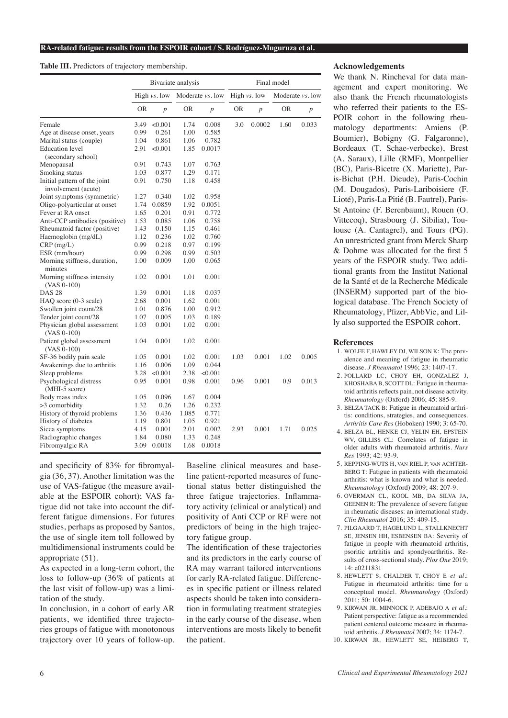#### **Table III.** Predictors of trajectory membership.

|                                                     | Bivariate analysis |              |                          |                  | Final model  |                  |                  |                  |  |
|-----------------------------------------------------|--------------------|--------------|--------------------------|------------------|--------------|------------------|------------------|------------------|--|
|                                                     |                    | High vs. low | Moderate <i>vs</i> . low |                  | High vs. low |                  | Moderate vs. low |                  |  |
|                                                     | <b>OR</b>          | p            | OR                       | $\boldsymbol{p}$ | 0R           | $\boldsymbol{p}$ | 0R               | $\boldsymbol{p}$ |  |
| Female                                              | 3.49               | < 0.001      | 1.74                     | 0.008            | 3.0          | 0.0002           | 1.60             | 0.033            |  |
| Age at disease onset, years                         | 0.99               | 0.261        | 1.00                     | 0.585            |              |                  |                  |                  |  |
| Marital status (couple)                             | 1.04               | 0.861        | 1.06                     | 0.782            |              |                  |                  |                  |  |
| <b>Education</b> level<br>(secondary school)        | 2.91               | < 0.001      | 1.85                     | 0.0017           |              |                  |                  |                  |  |
| Menopausal                                          | 0.91               | 0.743        | 1.07                     | 0.763            |              |                  |                  |                  |  |
| Smoking status                                      | 1.03               | 0.877        | 1.29                     | 0.171            |              |                  |                  |                  |  |
| Initial pattern of the joint<br>involvement (acute) | 0.91               | 0.750        | 1.18                     | 0.458            |              |                  |                  |                  |  |
| Joint symptoms (symmetric)                          | 1.27               | 0.340        | 1.02                     | 0.958            |              |                  |                  |                  |  |
| Oligo-polyarticular at onset                        | 1.74               | 0.0859       | 1.92                     | 0.0051           |              |                  |                  |                  |  |
| Fever at RA onset                                   | 1.65               | 0.201        | 0.91                     | 0.772            |              |                  |                  |                  |  |
| Anti-CCP antibodies (positive)                      | 1.53               | 0.085        | 1.06                     | 0.758            |              |                  |                  |                  |  |
| Rheumatoid factor (positive)                        | 1.43               | 0.150        | 1.15                     | 0.461            |              |                  |                  |                  |  |
| Haemoglobin (mg/dL)                                 | 1.12               | 0.236        | 1.02                     | 0.760            |              |                  |                  |                  |  |
| CRP(mg/L)                                           | 0.99               | 0.218        | 0.97                     | 0.199            |              |                  |                  |                  |  |
| ESR (mm/hour)                                       | 0.99               | 0.298        | 0.99                     | 0.503            |              |                  |                  |                  |  |
| Morning stiffness, duration,<br>minutes             | 1.00               | 0.009        | 1.00                     | 0.065            |              |                  |                  |                  |  |
| Morning stiffness intensity<br>$(VAS 0-100)$        | 1.02               | 0.001        | 1.01                     | 0.001            |              |                  |                  |                  |  |
| <b>DAS 28</b>                                       | 1.39               | 0.001        | 1.18                     | 0.037            |              |                  |                  |                  |  |
| HAQ score (0-3 scale)                               | 2.68               | 0.001        | 1.62                     | 0.001            |              |                  |                  |                  |  |
| Swollen joint count/28                              | 1.01               | 0.876        | 1.00                     | 0.912            |              |                  |                  |                  |  |
| Tender joint count/28                               | 1.07               | 0.005        | 1.03                     | 0.189            |              |                  |                  |                  |  |
| Physician global assessment<br>$(VAS 0-100)$        | 1.03               | 0.001        | 1.02                     | 0.001            |              |                  |                  |                  |  |
| Patient global assessment<br>(VAS 0-100)            | 1.04               | 0.001        | 1.02                     | 0.001            |              |                  |                  |                  |  |
| SF-36 bodily pain scale                             | 1.05               | 0.001        | 1.02                     | 0.001            | 1.03         | 0.001            | 1.02             | 0.005            |  |
| Awakenings due to arthritis                         | 1.16               | 0.006        | 1.09                     | 0.044            |              |                  |                  |                  |  |
| Sleep problems                                      | 3.28               | < 0.001      | 2.38                     | < 0.001          |              |                  |                  |                  |  |
| Psychological distress                              | 0.95               | 0.001        | 0.98                     | 0.001            | 0.96         | 0.001            | 0.9              | 0.013            |  |
| $(MHI-5 score)$                                     |                    |              |                          |                  |              |                  |                  |                  |  |
| Body mass index                                     | 1.05               | 0.096        | 1.67                     | 0.004            |              |                  |                  |                  |  |
| >3 comorbidity                                      | 1.32               | 0.26         | 1.26                     | 0.232            |              |                  |                  |                  |  |
| History of thyroid problems                         | 1.36               | 0.436        | 1.085                    | 0.771            |              |                  |                  |                  |  |
| History of diabetes                                 | 1.19               | 0.801        | 1.05                     | 0.921            |              |                  |                  |                  |  |
| Sicca symptoms                                      | 4.15               | 0.001        | 2.01                     | 0.002            | 2.93         | 0.001            | 1.71             | 0.025            |  |
| Radiographic changes                                | 1.84               | 0.080        | 1.33                     | 0.248            |              |                  |                  |                  |  |
| Fibromyalgic RA                                     | 3.09               | 0.0018       | 1.68                     | 0.0018           |              |                  |                  |                  |  |

and specificity of 83% for fibromyalgia (36, 37). Another limitation was the use of VAS-fatigue (the measure available at the ESPOIR cohort); VAS fatigue did not take into account the different fatigue dimensions. For futures studies, perhaps as proposed by Santos, the use of single item toll followed by multidimensional instruments could be appropriate (51).

As expected in a long-term cohort, the loss to follow-up (36% of patients at the last visit of follow-up) was a limitation of the study.

In conclusion, in a cohort of early AR patients, we identified three trajectories groups of fatigue with monotonous trajectory over 10 years of follow-up. Baseline clinical measures and baseline patient-reported measures of functional status better distinguished the three fatigue trajectories. Inflammatory activity (clinical or analytical) and positivity of Anti CCP or RF were not predictors of being in the high trajectory fatigue group.

The identification of these trajectories and its predictors in the early course of RA may warrant tailored interventions for early RA-related fatigue. Differences in specific patient or illness related aspects should be taken into consideration in formulating treatment strategies in the early course of the disease, when interventions are mosts likely to benefit the patient.

#### **Acknowledgements**

We thank N. Rincheval for data management and expert monitoring. We also thank the French rheumatologists who referred their patients to the ES-POIR cohort in the following rheumatology departments: Amiens (P. Boumier), Bobigny (G. Falgaronne), Bordeaux (T. Schae-verbecke), Brest (A. Saraux), Lille (RMF), Montpellier (BC), Paris-Bicetre (X. Mariette), Paris-Bichat (P.H. Dieude), Paris-Cochin (M. Dougados), Paris-Lariboisiere (F. Lioté), Paris-La Pitié (B. Fautrel), Paris-St Antoine (F. Berenbaum), Rouen (O. Vittecoq), Strasbourg (J. Sibilia), Toulouse (A. Cantagrel), and Tours (PG). An unrestricted grant from Merck Sharp & Dohme was allocated for the first 5 years of the ESPOIR study. Two additional grants from the Institut National de la Santé et de la Recherche Médicale (INSERM) supported part of the biological database. The French Society of Rheumatology, Pfizer, AbbVie, and Lilly also supported the ESPOIR cohort.

#### **References**

- 1. WOLFE F, HAWLEY DJ, WILSON K: The prevalence and meaning of fatigue in rheumatic disease. *J Rheumatol* 1996; 23: 1407-17.
- 2. POLLARD LC, CHOY EH, GONZALEZ J, KHOSHABA B, SCOTT DL: Fatigue in rheumatoid arthritis reflects pain, not disease activity. *Rheumatology* (Oxford) 2006; 45: 885-9.
- 3. BELZA TACK B: Fatigue in rheumatoid arthritis: conditions, strategies, and consequences. *Arthritis Care Res* (Hoboken) 1990; 3: 65-70.
- 4. BELZA BL, HENKE CJ, YELIN EH, EPSTEIN WV, GILLISS CL: Correlates of fatigue in older adults with rheumatoid arthritis. *Nurs Res* 1993; 42: 93-9.
- 5. REPPING-WUTS H, van RIEL P, van ACHTER-BERG T: Fatigue in patients with rheumatoid arthritis: what is known and what is needed. *Rheumatology* (Oxford) 2009; 48: 207-9.
- 6. OVERMAN CL, KOOL MB, DA SILVA JA, GEENEN R: The prevalence of severe fatigue in rheumatic diseases: an international study. *Clin Rheumatol* 2016; 35: 409-15.
- 7. PILGAARD T, HAGELUND L, STALLKNECHT SE, JENSEN HH, ESBENSEN BA: Severity of fatigue in people with rheumatoid arthritis, psoritic artrhitis and spondyoarthritis. Results of cross-sectional study. *Plos One* 2019; 14: e0211831
- 8. HEWLETT S, CHALDER T, CHOY E *et al*.: Fatigue in rheumatoid arthritis: time for a conceptual model. *Rheumatology* (Oxford) 2011; 50: 1004-6.
- 9. KIRWAN JR, MINNOCK P, ADEBAJO A *et al*.: Patient perspective: fatigue as a recommended patient centered outcome measure in rheumatoid arthritis. *J Rheumatol* 2007; 34: 1174-7.
- 10. KIRWAN JR, HEWLETT SE, HEIBERG T,